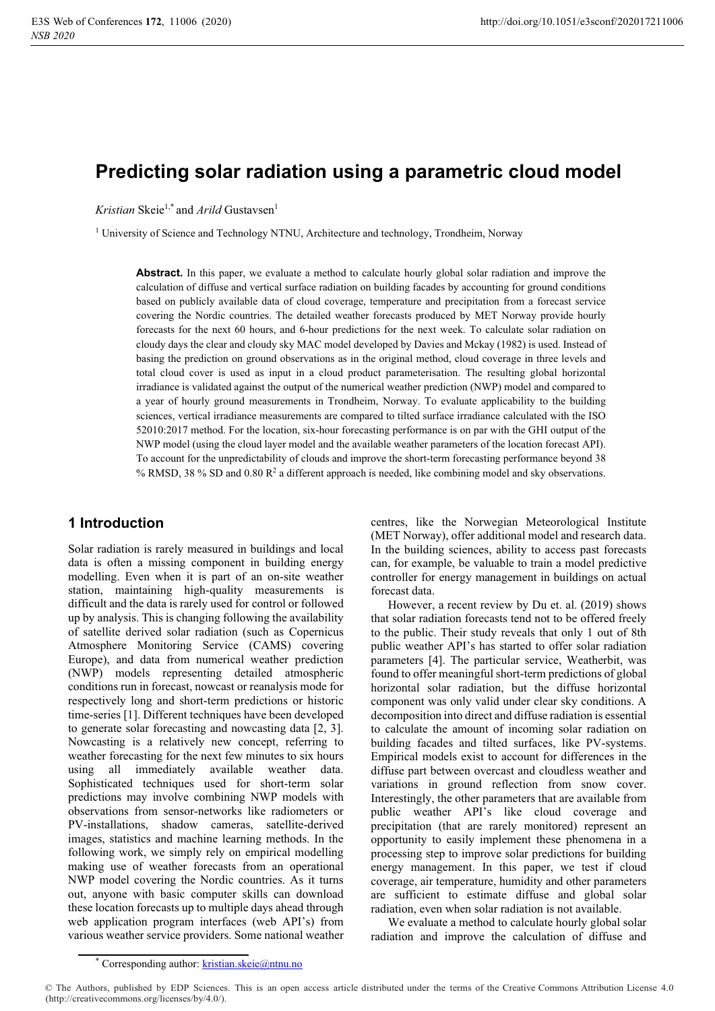# **Predicting solar radiation using a parametric cloud model**

*Kristian* Skeie<sup>1,\*</sup> and *Arild* Gustavsen<sup>1</sup>

<sup>1</sup> University of Science and Technology NTNU, Architecture and technology, Trondheim, Norway

**Abstract.** In this paper, we evaluate a method to calculate hourly global solar radiation and improve the calculation of diffuse and vertical surface radiation on building facades by accounting for ground conditions based on publicly available data of cloud coverage, temperature and precipitation from a forecast service covering the Nordic countries. The detailed weather forecasts produced by MET Norway provide hourly forecasts for the next 60 hours, and 6-hour predictions for the next week. To calculate solar radiation on cloudy days the clear and cloudy sky MAC model developed by Davies and Mckay (1982) is used. Instead of basing the prediction on ground observations as in the original method, cloud coverage in three levels and total cloud cover is used as input in a cloud product parameterisation. The resulting global horizontal irradiance is validated against the output of the numerical weather prediction (NWP) model and compared to a year of hourly ground measurements in Trondheim, Norway. To evaluate applicability to the building sciences, vertical irradiance measurements are compared to tilted surface irradiance calculated with the ISO 52010:2017 method. For the location, six-hour forecasting performance is on par with the GHI output of the NWP model (using the cloud layer model and the available weather parameters of the location forecast API). To account for the unpredictability of clouds and improve the short-term forecasting performance beyond 38 % RMSD, 38 % SD and 0.80 R2 a different approach is needed, like combining model and sky observations.

# **1 Introduction**

Solar radiation is rarely measured in buildings and local data is often a missing component in building energy modelling. Even when it is part of an on-site weather station, maintaining high-quality measurements is difficult and the data is rarely used for control or followed up by analysis. This is changing following the availability of satellite derived solar radiation (such as Copernicus Atmosphere Monitoring Service (CAMS) covering Europe), and data from numerical weather prediction (NWP) models representing detailed atmospheric conditions run in forecast, nowcast or reanalysis mode for respectively long and short-term predictions or historic time-series [1]. Different techniques have been developed to generate solar forecasting and nowcasting data [2, 3]. Nowcasting is a relatively new concept, referring to weather forecasting for the next few minutes to six hours using all immediately available weather data. Sophisticated techniques used for short-term solar predictions may involve combining NWP models with observations from sensor-networks like radiometers or PV-installations, shadow cameras, satellite-derived images, statistics and machine learning methods. In the following work, we simply rely on empirical modelling making use of weather forecasts from an operational NWP model covering the Nordic countries. As it turns out, anyone with basic computer skills can download these location forecasts up to multiple days ahead through web application program interfaces (web API's) from various weather service providers. Some national weather

centres, like the Norwegian Meteorological Institute (MET Norway), offer additional model and research data. In the building sciences, ability to access past forecasts can, for example, be valuable to train a model predictive controller for energy management in buildings on actual forecast data.

However, a recent review by Du et. al. (2019) shows that solar radiation forecasts tend not to be offered freely to the public. Their study reveals that only 1 out of 8th public weather API's has started to offer solar radiation parameters [4]. The particular service, Weatherbit, was found to offer meaningful short-term predictions of global horizontal solar radiation, but the diffuse horizontal component was only valid under clear sky conditions. A decomposition into direct and diffuse radiation is essential to calculate the amount of incoming solar radiation on building facades and tilted surfaces, like PV-systems. Empirical models exist to account for differences in the diffuse part between overcast and cloudless weather and variations in ground reflection from snow cover. Interestingly, the other parameters that are available from public weather API's like cloud coverage and precipitation (that are rarely monitored) represent an opportunity to easily implement these phenomena in a processing step to improve solar predictions for building energy management. In this paper, we test if cloud coverage, air temperature, humidity and other parameters are sufficient to estimate diffuse and global solar radiation, even when solar radiation is not available.

We evaluate a method to calculate hourly global solar radiation and improve the calculation of diffuse and

<sup>\*</sup> Corresponding author: kristian.skeie@ntnu.no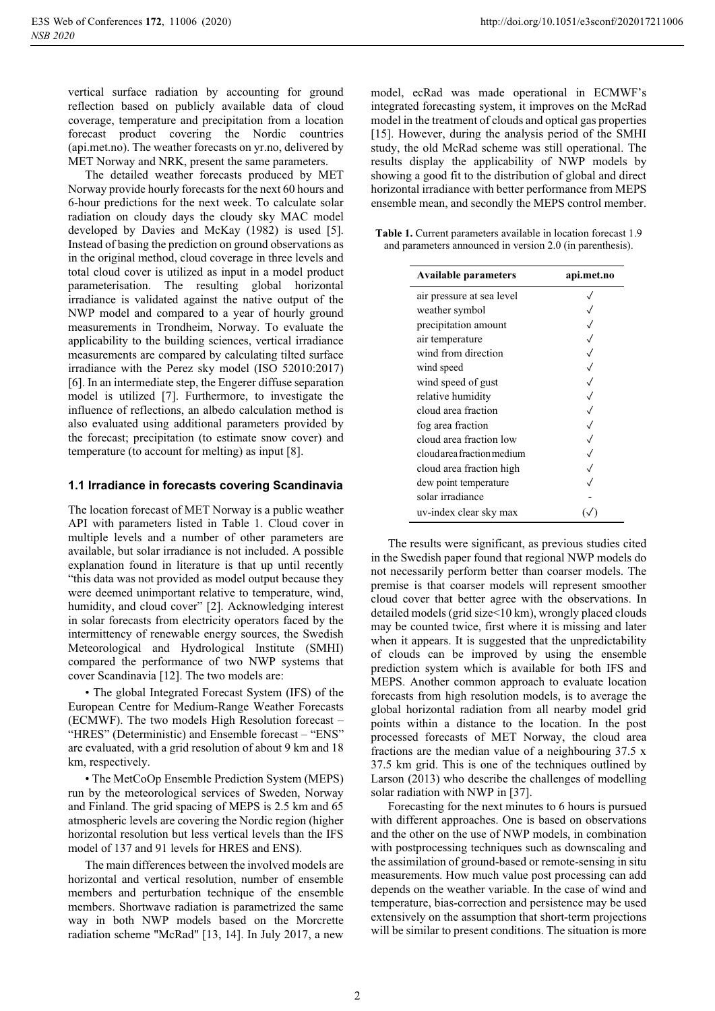vertical surface radiation by accounting for ground reflection based on publicly available data of cloud coverage, temperature and precipitation from a location forecast product covering the Nordic countries (api.met.no). The weather forecasts on yr.no, delivered by MET Norway and NRK, present the same parameters.

The detailed weather forecasts produced by MET Norway provide hourly forecasts for the next 60 hours and 6-hour predictions for the next week. To calculate solar radiation on cloudy days the cloudy sky MAC model developed by Davies and McKay (1982) is used [5]. Instead of basing the prediction on ground observations as in the original method, cloud coverage in three levels and total cloud cover is utilized as input in a model product parameterisation. The resulting global horizontal irradiance is validated against the native output of the NWP model and compared to a year of hourly ground measurements in Trondheim, Norway. To evaluate the applicability to the building sciences, vertical irradiance measurements are compared by calculating tilted surface irradiance with the Perez sky model (ISO 52010:2017) [6]. In an intermediate step, the Engerer diffuse separation model is utilized [7]. Furthermore, to investigate the influence of reflections, an albedo calculation method is also evaluated using additional parameters provided by the forecast; precipitation (to estimate snow cover) and temperature (to account for melting) as input [8].

#### **1.1 Irradiance in forecasts covering Scandinavia**

The location forecast of MET Norway is a public weather API with parameters listed in Table 1. Cloud cover in multiple levels and a number of other parameters are available, but solar irradiance is not included. A possible explanation found in literature is that up until recently "this data was not provided as model output because they were deemed unimportant relative to temperature, wind, humidity, and cloud cover" [2]. Acknowledging interest in solar forecasts from electricity operators faced by the intermittency of renewable energy sources, the Swedish Meteorological and Hydrological Institute (SMHI) compared the performance of two NWP systems that cover Scandinavia [12]. The two models are:

• The global Integrated Forecast System (IFS) of the European Centre for Medium-Range Weather Forecasts (ECMWF). The two models High Resolution forecast – "HRES" (Deterministic) and Ensemble forecast – "ENS" are evaluated, with a grid resolution of about 9 km and 18 km, respectively.

• The MetCoOp Ensemble Prediction System (MEPS) run by the meteorological services of Sweden, Norway and Finland. The grid spacing of MEPS is 2.5 km and 65 atmospheric levels are covering the Nordic region (higher horizontal resolution but less vertical levels than the IFS model of 137 and 91 levels for HRES and ENS).

The main differences between the involved models are horizontal and vertical resolution, number of ensemble members and perturbation technique of the ensemble members. Shortwave radiation is parametrized the same way in both NWP models based on the Morcrette radiation scheme "McRad" [13, 14]. In July 2017, a new

model, ecRad was made operational in ECMWF's integrated forecasting system, it improves on the McRad model in the treatment of clouds and optical gas properties [15]. However, during the analysis period of the SMHI study, the old McRad scheme was still operational. The results display the applicability of NWP models by showing a good fit to the distribution of global and direct horizontal irradiance with better performance from MEPS ensemble mean, and secondly the MEPS control member.

**Table 1.** Current parameters available in location forecast 1.9 and parameters announced in version 2.0 (in parenthesis).

| <b>Available parameters</b> | api.met.no |
|-----------------------------|------------|
| air pressure at sea level   |            |
| weather symbol              |            |
| precipitation amount        |            |
| air temperature             |            |
| wind from direction         |            |
| wind speed                  |            |
| wind speed of gust          |            |
| relative humidity           |            |
| cloud area fraction         |            |
| fog area fraction           |            |
| cloud area fraction low     |            |
| cloud area fraction medium  |            |
| cloud area fraction high    |            |
| dew point temperature       |            |
| solar irradiance            |            |
| uv-index clear sky max      |            |

The results were significant, as previous studies cited in the Swedish paper found that regional NWP models do not necessarily perform better than coarser models. The premise is that coarser models will represent smoother cloud cover that better agree with the observations. In detailed models (grid size<10 km), wrongly placed clouds may be counted twice, first where it is missing and later when it appears. It is suggested that the unpredictability of clouds can be improved by using the ensemble prediction system which is available for both IFS and MEPS. Another common approach to evaluate location forecasts from high resolution models, is to average the global horizontal radiation from all nearby model grid points within a distance to the location. In the post processed forecasts of MET Norway, the cloud area fractions are the median value of a neighbouring 37.5 x 37.5 km grid. This is one of the techniques outlined by Larson (2013) who describe the challenges of modelling solar radiation with NWP in [37].

Forecasting for the next minutes to 6 hours is pursued with different approaches. One is based on observations and the other on the use of NWP models, in combination with postprocessing techniques such as downscaling and the assimilation of ground-based or remote-sensing in situ measurements. How much value post processing can add depends on the weather variable. In the case of wind and temperature, bias-correction and persistence may be used extensively on the assumption that short-term projections will be similar to present conditions. The situation is more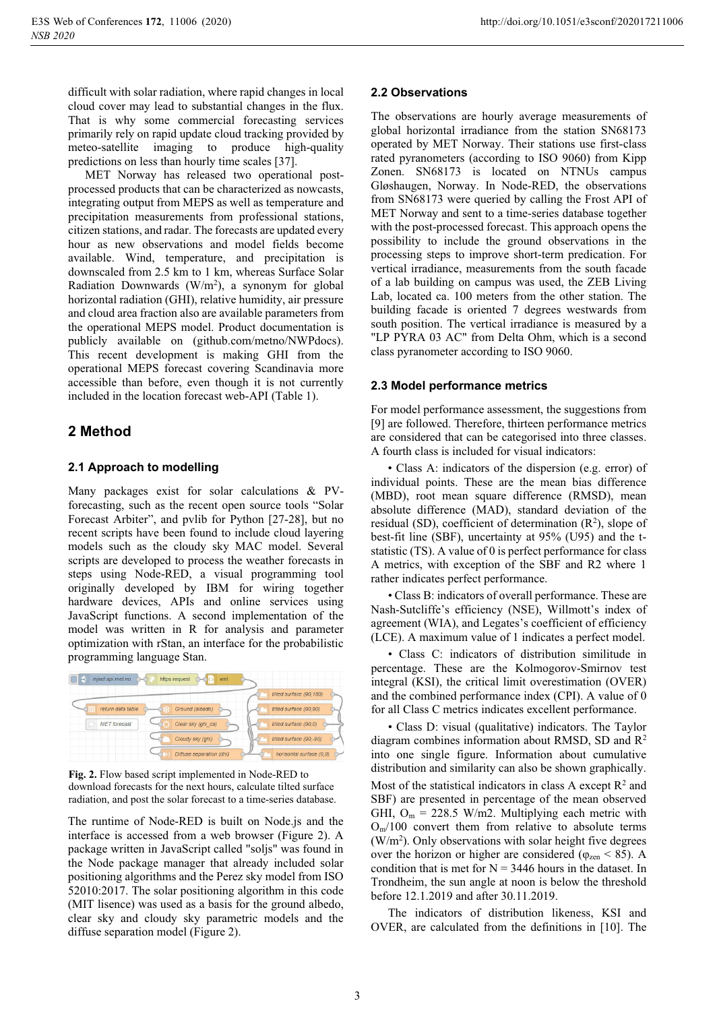difficult with solar radiation, where rapid changes in local cloud cover may lead to substantial changes in the flux. That is why some commercial forecasting services primarily rely on rapid update cloud tracking provided by meteo-satellite imaging to produce high-quality predictions on less than hourly time scales [37].

MET Norway has released two operational postprocessed products that can be characterized as nowcasts, integrating output from MEPS as well as temperature and precipitation measurements from professional stations, citizen stations, and radar. The forecasts are updated every hour as new observations and model fields become available. Wind, temperature, and precipitation is downscaled from 2.5 km to 1 km, whereas Surface Solar Radiation Downwards  $(W/m<sup>2</sup>)$ , a synonym for global horizontal radiation (GHI), relative humidity, air pressure and cloud area fraction also are available parameters from the operational MEPS model. Product documentation is publicly available on (github.com/metno/NWPdocs). This recent development is making GHI from the operational MEPS forecast covering Scandinavia more accessible than before, even though it is not currently included in the location forecast web-API (Table 1).

# **2 Method**

# **2.1 Approach to modelling**

Many packages exist for solar calculations & PVforecasting, such as the recent open source tools "Solar Forecast Arbiter", and pvlib for Python [27-28], but no recent scripts have been found to include cloud layering models such as the cloudy sky MAC model. Several scripts are developed to process the weather forecasts in steps using Node-RED, a visual programming tool originally developed by IBM for wiring together hardware devices, APIs and online services using JavaScript functions. A second implementation of the model was written in R for analysis and parameter optimization with rStan, an interface for the probabilistic programming language Stan.



**Fig. 2.** Flow based script implemented in Node-RED to download forecasts for the next hours, calculate tilted surface radiation, and post the solar forecast to a time-series database.

The runtime of Node-RED is built on Node.js and the interface is accessed from a web browser (Figure 2). A package written in JavaScript called "soljs" was found in the Node package manager that already included solar positioning algorithms and the Perez sky model from ISO 52010:2017. The solar positioning algorithm in this code (MIT lisence) was used as a basis for the ground albedo, clear sky and cloudy sky parametric models and the diffuse separation model (Figure 2).

# **2.2 Observations**

The observations are hourly average measurements of global horizontal irradiance from the station SN68173 operated by MET Norway. Their stations use first-class rated pyranometers (according to ISO 9060) from Kipp Zonen. SN68173 is located on NTNUs campus Gløshaugen, Norway. In Node-RED, the observations from SN68173 were queried by calling the Frost API of MET Norway and sent to a time-series database together with the post-processed forecast. This approach opens the possibility to include the ground observations in the processing steps to improve short-term predication. For vertical irradiance, measurements from the south facade of a lab building on campus was used, the ZEB Living Lab, located ca. 100 meters from the other station. The building facade is oriented 7 degrees westwards from south position. The vertical irradiance is measured by a "LP PYRA 03 AC" from Delta Ohm, which is a second class pyranometer according to ISO 9060.

# **2.3 Model performance metrics**

For model performance assessment, the suggestions from [9] are followed. Therefore, thirteen performance metrics are considered that can be categorised into three classes. A fourth class is included for visual indicators:

• Class A: indicators of the dispersion (e.g. error) of individual points. These are the mean bias difference (MBD), root mean square difference (RMSD), mean absolute difference (MAD), standard deviation of the residual (SD), coefficient of determination  $(R^2)$ , slope of best-fit line (SBF), uncertainty at 95% (U95) and the tstatistic (TS). A value of 0 is perfect performance for class A metrics, with exception of the SBF and R2 where 1 rather indicates perfect performance.

• Class B: indicators of overall performance. These are Nash-Sutcliffe's efficiency (NSE), Willmott's index of agreement (WIA), and Legates's coefficient of efficiency (LCE). A maximum value of 1 indicates a perfect model.

• Class C: indicators of distribution similitude in percentage. These are the Kolmogorov-Smirnov test integral (KSI), the critical limit overestimation (OVER) and the combined performance index (CPI). A value of 0 for all Class C metrics indicates excellent performance.

• Class D: visual (qualitative) indicators. The Taylor diagram combines information about RMSD, SD and  $R^2$ into one single figure. Information about cumulative distribution and similarity can also be shown graphically. Most of the statistical indicators in class A except  $\mathbb{R}^2$  and SBF) are presented in percentage of the mean observed GHI,  $O_m = 228.5$  W/m2. Multiplying each metric with  $O<sub>m</sub>/100$  convert them from relative to absolute terms (W/m2 ). Only observations with solar height five degrees over the horizon or higher are considered ( $\varphi_{zen}$  < 85). A condition that is met for  $N = 3446$  hours in the dataset. In Trondheim, the sun angle at noon is below the threshold before 12.1.2019 and after 30.11.2019.

The indicators of distribution likeness, KSI and OVER, are calculated from the definitions in [10]. The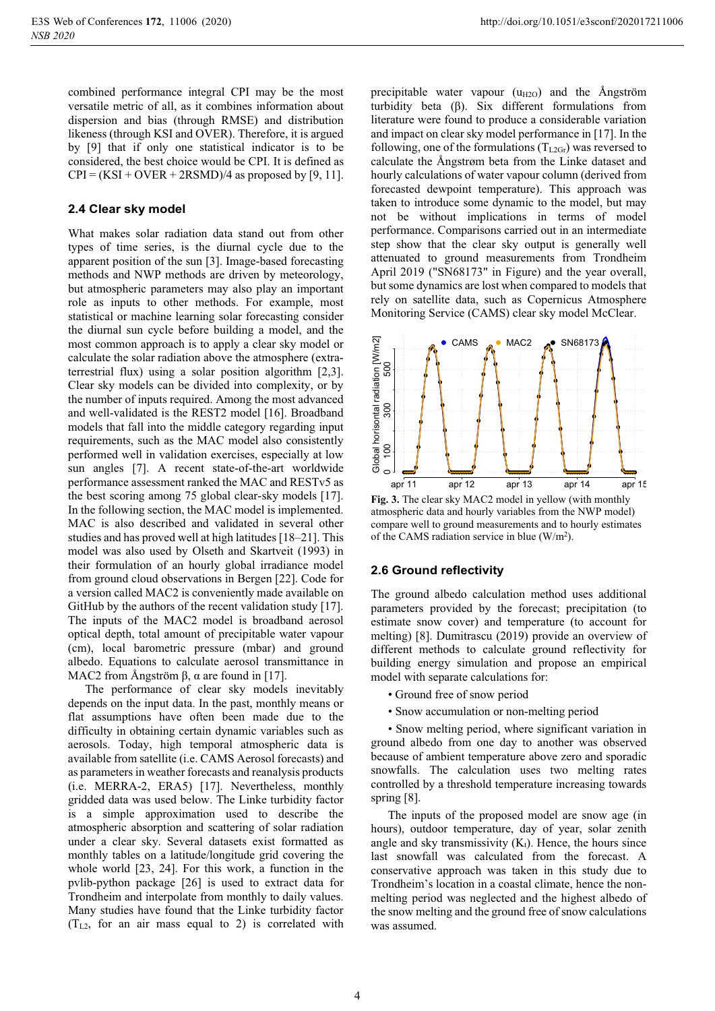### **2.4 Clear sky model**

What makes solar radiation data stand out from other types of time series, is the diurnal cycle due to the apparent position of the sun [3]. Image-based forecasting methods and NWP methods are driven by meteorology, but atmospheric parameters may also play an important role as inputs to other methods. For example, most statistical or machine learning solar forecasting consider the diurnal sun cycle before building a model, and the most common approach is to apply a clear sky model or calculate the solar radiation above the atmosphere (extraterrestrial flux) using a solar position algorithm [2,3]. Clear sky models can be divided into complexity, or by the number of inputs required. Among the most advanced and well-validated is the REST2 model [16]. Broadband models that fall into the middle category regarding input requirements, such as the MAC model also consistently performed well in validation exercises, especially at low sun angles [7]. A recent state-of-the-art worldwide performance assessment ranked the MAC and RESTv5 as the best scoring among 75 global clear-sky models [17]. In the following section, the MAC model is implemented. MAC is also described and validated in several other studies and has proved well at high latitudes [18–21]. This model was also used by Olseth and Skartveit (1993) in their formulation of an hourly global irradiance model from ground cloud observations in Bergen [22]. Code for a version called MAC2 is conveniently made available on GitHub by the authors of the recent validation study [17]. The inputs of the MAC2 model is broadband aerosol optical depth, total amount of precipitable water vapour (cm), local barometric pressure (mbar) and ground albedo. Equations to calculate aerosol transmittance in MAC2 from Ångström  $\beta$ ,  $\alpha$  are found in [17].

The performance of clear sky models inevitably depends on the input data. In the past, monthly means or flat assumptions have often been made due to the difficulty in obtaining certain dynamic variables such as aerosols. Today, high temporal atmospheric data is available from satellite (i.e. CAMS Aerosol forecasts) and as parameters in weather forecasts and reanalysis products (i.e. MERRA-2, ERA5) [17]. Nevertheless, monthly gridded data was used below. The Linke turbidity factor is a simple approximation used to describe the atmospheric absorption and scattering of solar radiation under a clear sky. Several datasets exist formatted as monthly tables on a latitude/longitude grid covering the whole world [23, 24]. For this work, a function in the pvlib-python package [26] is used to extract data for Trondheim and interpolate from monthly to daily values. Many studies have found that the Linke turbidity factor (TL2, for an air mass equal to 2) is correlated with

precipitable water vapour  $(u_{H2O})$  and the Ångström turbidity beta  $(\beta)$ . Six different formulations from literature were found to produce a considerable variation and impact on clear sky model performance in [17]. In the following, one of the formulations  $(T<sub>L2Gr</sub>)$  was reversed to calculate the Ångstrøm beta from the Linke dataset and hourly calculations of water vapour column (derived from forecasted dewpoint temperature). This approach was taken to introduce some dynamic to the model, but may not be without implications in terms of model performance. Comparisons carried out in an intermediate step show that the clear sky output is generally well attenuated to ground measurements from Trondheim April 2019 ("SN68173" in Figure) and the year overall, but some dynamics are lost when compared to models that rely on satellite data, such as Copernicus Atmosphere Monitoring Service (CAMS) clear sky model McClear.



**Fig. 3.** The clear sky MAC2 model in yellow (with monthly atmospheric data and hourly variables from the NWP model) compare well to ground measurements and to hourly estimates of the CAMS radiation service in blue (W/m2).

## **2.6 Ground reflectivity**

The ground albedo calculation method uses additional parameters provided by the forecast; precipitation (to estimate snow cover) and temperature (to account for melting) [8]. Dumitrascu (2019) provide an overview of different methods to calculate ground reflectivity for building energy simulation and propose an empirical model with separate calculations for:

- Ground free of snow period
- Snow accumulation or non-melting period

• Snow melting period, where significant variation in ground albedo from one day to another was observed because of ambient temperature above zero and sporadic snowfalls. The calculation uses two melting rates controlled by a threshold temperature increasing towards spring [8].

The inputs of the proposed model are snow age (in hours), outdoor temperature, day of year, solar zenith angle and sky transmissivity  $(K_t)$ . Hence, the hours since last snowfall was calculated from the forecast. A conservative approach was taken in this study due to Trondheim's location in a coastal climate, hence the nonmelting period was neglected and the highest albedo of the snow melting and the ground free of snow calculations was assumed.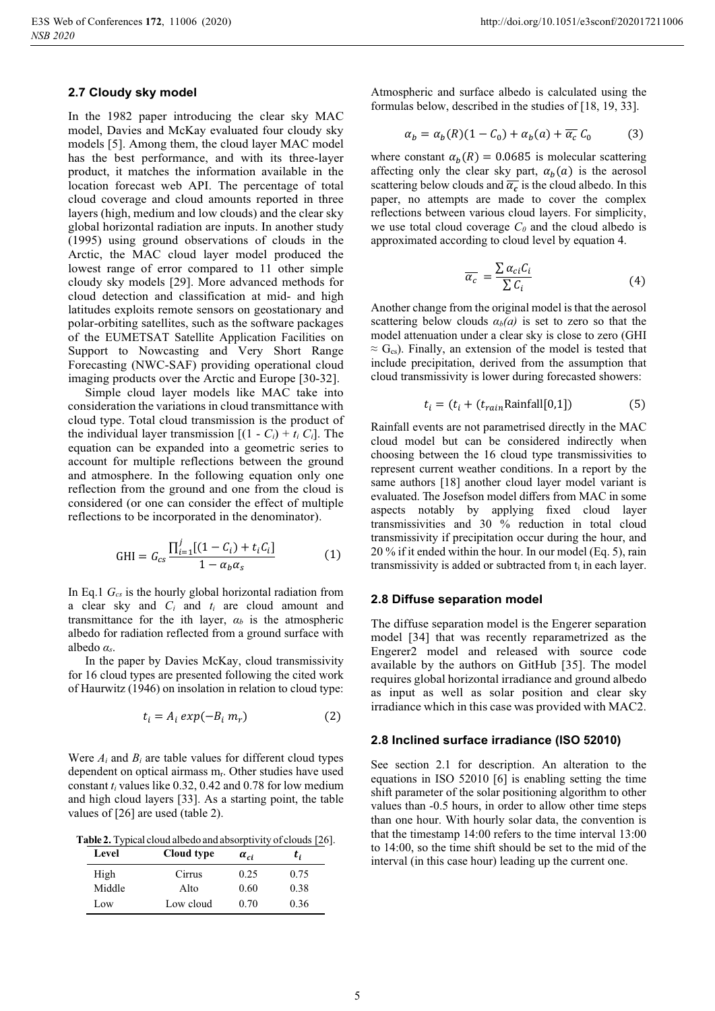#### **2.7 Cloudy sky model**

In the 1982 paper introducing the clear sky MAC model, Davies and McKay evaluated four cloudy sky models [5]. Among them, the cloud layer MAC model has the best performance, and with its three-layer product, it matches the information available in the location forecast web API. The percentage of total cloud coverage and cloud amounts reported in three layers (high, medium and low clouds) and the clear sky global horizontal radiation are inputs. In another study (1995) using ground observations of clouds in the Arctic, the MAC cloud layer model produced the lowest range of error compared to 11 other simple cloudy sky models [29]. More advanced methods for cloud detection and classification at mid- and high latitudes exploits remote sensors on geostationary and polar-orbiting satellites, such as the software packages of the EUMETSAT Satellite Application Facilities on Support to Nowcasting and Very Short Range Forecasting (NWC-SAF) providing operational cloud imaging products over the Arctic and Europe [30-32].

Simple cloud layer models like MAC take into consideration the variations in cloud transmittance with cloud type. Total cloud transmission is the product of the individual layer transmission  $[(1 - C_i) + t_i C_i]$ . The equation can be expanded into a geometric series to account for multiple reflections between the ground and atmosphere. In the following equation only one reflection from the ground and one from the cloud is considered (or one can consider the effect of multiple reflections to be incorporated in the denominator).

$$
GHI = G_{cs} \frac{\prod_{i=1}^{j} [(1 - C_i) + t_i C_i]}{1 - \alpha_b \alpha_s}
$$
 (1)

In Eq.1 *Gcs* is the hourly global horizontal radiation from a clear sky and *Ci* and *ti* are cloud amount and transmittance for the ith layer,  $a_b$  is the atmospheric albedo for radiation reflected from a ground surface with albedo  $\alpha_s$ .

In the paper by Davies McKay, cloud transmissivity for 16 cloud types are presented following the cited work of Haurwitz (1946) on insolation in relation to cloud type:

$$
t_i = A_i \exp(-B_i m_r) \tag{2}
$$

Were *Ai* and *Bi* are table values for different cloud types dependent on optical airmass  $m_r$ . Other studies have used constant *ti* values like 0.32, 0.42 and 0.78 for low medium and high cloud layers [33]. As a starting point, the table values of [26] are used (table 2).

**Table 2.** Typical cloud albedo and absorptivity of clouds [26].

| Level  | Cloud type | $\alpha_{ci}$ | t,   |
|--------|------------|---------------|------|
| High   | Cirrus     | 0.25          | 0.75 |
| Middle | Alto       | 0.60          | 0.38 |
| Low    | Low cloud  | 0.70          | 0.36 |

Atmospheric and surface albedo is calculated using the formulas below, described in the studies of [18, 19, 33].

$$
\alpha_b = \alpha_b(R)(1 - C_0) + \alpha_b(a) + \overline{\alpha_c} C_0 \tag{3}
$$

where constant  $\alpha_h(R) = 0.0685$  is molecular scattering affecting only the clear sky part,  $\alpha_b(a)$  is the aerosol scattering below clouds and  $\overline{\alpha_c}$  is the cloud albedo. In this paper, no attempts are made to cover the complex reflections between various cloud layers. For simplicity, we use total cloud coverage  $C_0$  and the cloud albedo is approximated according to cloud level by equation 4.

$$
\overline{\alpha_c} = \frac{\sum \alpha_{ci} C_i}{\sum C_i} \tag{4}
$$

Another change from the original model is that the aerosol scattering below clouds  $a_b(a)$  is set to zero so that the model attenuation under a clear sky is close to zero (GHI  $\approx$  G<sub>cs</sub>). Finally, an extension of the model is tested that include precipitation, derived from the assumption that cloud transmissivity is lower during forecasted showers:

$$
t_i = (t_i + (t_{rain} \text{Rainfall}[0,1]) \tag{5}
$$

Rainfall events are not parametrised directly in the MAC cloud model but can be considered indirectly when choosing between the 16 cloud type transmissivities to represent current weather conditions. In a report by the same authors [18] another cloud layer model variant is evaluated. The Josefson model differs from MAC in some aspects notably by applying fixed cloud layer transmissivities and 30 % reduction in total cloud transmissivity if precipitation occur during the hour, and 20 % if it ended within the hour. In our model (Eq. 5), rain transmissivity is added or subtracted from  $t_i$  in each layer.

#### **2.8 Diffuse separation model**

The diffuse separation model is the Engerer separation model [34] that was recently reparametrized as the Engerer2 model and released with source code available by the authors on GitHub [35]. The model requires global horizontal irradiance and ground albedo as input as well as solar position and clear sky irradiance which in this case was provided with MAC2.

# **2.8 Inclined surface irradiance (ISO 52010)**

See section 2.1 for description. An alteration to the equations in ISO 52010 [6] is enabling setting the time shift parameter of the solar positioning algorithm to other values than -0.5 hours, in order to allow other time steps than one hour. With hourly solar data, the convention is that the timestamp 14:00 refers to the time interval 13:00 to 14:00, so the time shift should be set to the mid of the interval (in this case hour) leading up the current one.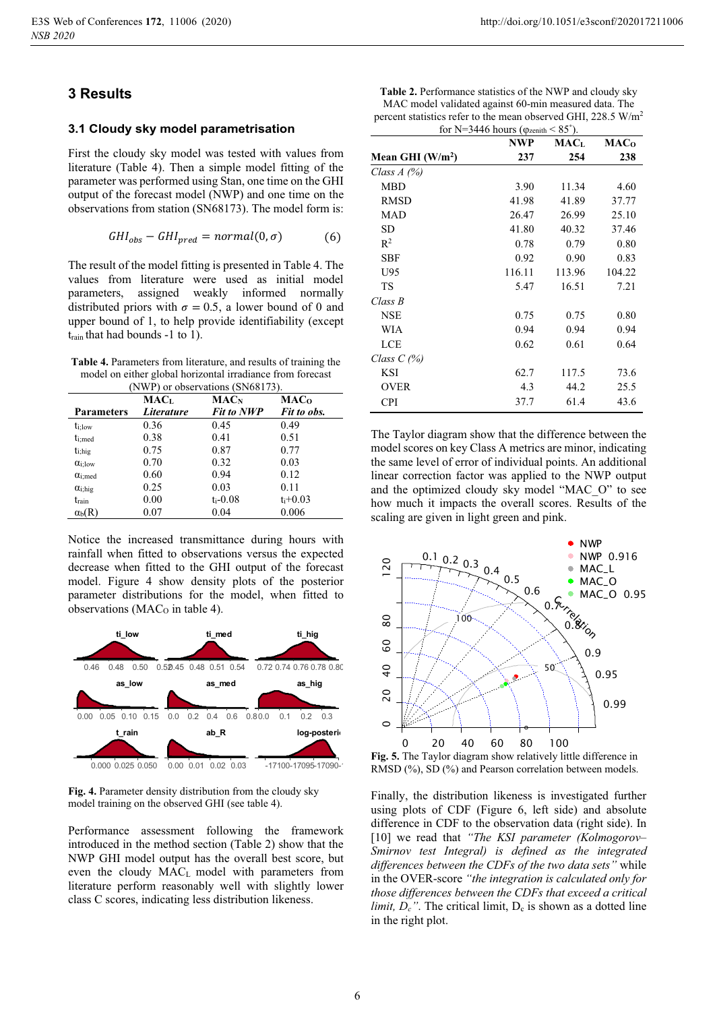# **3 Results**

# **3.1 Cloudy sky model parametrisation**

First the cloudy sky model was tested with values from literature (Table 4). Then a simple model fitting of the parameter was performed using Stan, one time on the GHI output of the forecast model (NWP) and one time on the observations from station (SN68173). The model form is:

$$
GHI_{obs} - GHI_{pred} = normal(0, \sigma) \tag{6}
$$

The result of the model fitting is presented in Table 4. The values from literature were used as initial model parameters, assigned weakly informed normally distributed priors with  $\sigma = 0.5$ , a lower bound of 0 and upper bound of 1, to help provide identifiability (except train that had bounds -1 to 1).

**Table 4.** Parameters from literature, and results of training the model on either global horizontal irradiance from forecast

| (NWP) or observations (SN68173). |            |                         |                         |  |  |  |
|----------------------------------|------------|-------------------------|-------------------------|--|--|--|
|                                  | MACī.      | <b>MAC</b> <sub>N</sub> | <b>MAC</b> <sub>o</sub> |  |  |  |
| <b>Parameters</b>                | Literature | <b>Fit to NWP</b>       | Fit to obs.             |  |  |  |
| $t_i$ ; low                      | 0.36       | 0.45                    | 0.49                    |  |  |  |
| t <sub>i</sub> ;med              | 0.38       | 0.41                    | 0.51                    |  |  |  |
| $t_{i, hig}$                     | 0.75       | 0.87                    | 0.77                    |  |  |  |
| $\alpha$ i:low                   | 0.70       | 0.32                    | 0.03                    |  |  |  |
| $\alpha$ <sub>i</sub> :med       | 0.60       | 0.94                    | 0.12                    |  |  |  |
| $\alpha$ <sub>i</sub> ;hig       | 0.25       | 0.03                    | 0.11                    |  |  |  |
| train                            | 0.00       | $t_{i-}0.08$            | $t_i + 0.03$            |  |  |  |
| $\alpha_{\rm b}(R)$              | 0.07       | 0.04                    | 0.006                   |  |  |  |

Notice the increased transmittance during hours with rainfall when fitted to observations versus the expected decrease when fitted to the GHI output of the forecast model. Figure 4 show density plots of the posterior parameter distributions for the model, when fitted to observations ( $MAC<sub>O</sub>$  in table 4).



Fig. 4. Parameter density distribution from the cloudy sky

model training on the observed GHI (see table 4).

Performance assessment following the framework introduced in the method section (Table 2) show that the NWP GHI model output has the overall best score, but even the cloudy MACL model with parameters from literature perform reasonably well with slightly lower class C scores, indicating less distribution likeness.

| Table 2. Performance statistics of the NWP and cloudy sky                 |
|---------------------------------------------------------------------------|
| MAC model validated against 60-min measured data. The                     |
| percent statistics refer to the mean observed GHI, 228.5 W/m <sup>2</sup> |
| $C = 3T - 24461$ $C = 207$                                                |

|                   | for N=3446 hours ( $\varphi$ <sub>zenith</sub> < 85 <sup>°</sup> ).<br>NWP | <b>MAC</b> L | <b>MAC</b> <sub>o</sub> |
|-------------------|----------------------------------------------------------------------------|--------------|-------------------------|
| Mean GHI $(W/m2)$ | 237                                                                        | 254          | 238                     |
| Class $A(\%)$     |                                                                            |              |                         |
| MBD               | 3.90                                                                       | 11.34        | 4.60                    |
| <b>RMSD</b>       | 41.98                                                                      | 41.89        | 37.77                   |
| MAD               | 26.47                                                                      | 26.99        | 25.10                   |
| <b>SD</b>         | 41.80                                                                      | 40.32        | 37.46                   |
| $R^2$             | 0.78                                                                       | 0.79         | 0.80                    |
| <b>SBF</b>        | 0.92                                                                       | 0.90         | 0.83                    |
| U95               | 116.11                                                                     | 113.96       | 104.22                  |
| TS                | 5.47                                                                       | 16.51        | 7.21                    |
| Class B           |                                                                            |              |                         |
| <b>NSE</b>        | 0.75                                                                       | 0.75         | 0.80                    |
| WIA               | 0.94                                                                       | 0.94         | 0.94                    |
| LCE               | 0.62                                                                       | 0.61         | 0.64                    |
| Class $C$ (%)     |                                                                            |              |                         |
| <b>KSI</b>        | 62.7                                                                       | 117.5        | 73.6                    |
| <b>OVER</b>       | 4.3                                                                        | 44.2         | 25.5                    |
| <b>CPI</b>        | 37.7                                                                       | 61.4         | 43.6                    |

The Taylor diagram show that the difference between the model scores on key Class A metrics are minor, indicating the same level of error of individual points. An additional linear correction factor was applied to the NWP output and the optimized cloudy sky model "MAC\_O" to see how much it impacts the overall scores. Results of the scaling are given in light green and pink.



**Fig. 5.** The Taylor diagram show relatively little difference in RMSD (%), SD (%) and Pearson correlation between models.

Finally, the distribution likeness is investigated further using plots of CDF (Figure 6, left side) and absolute difference in CDF to the observation data (right side). In [10] we read that *"The KSI parameter (Kolmogorov– Smirnov test Integral) is defined as the integrated differences between the CDFs of the two data sets"* while in the OVER-score *"the integration is calculated only for those differences between the CDFs that exceed a critical limit,*  $D_c$ *"*. The critical limit,  $D_c$  is shown as a dotted line in the right plot.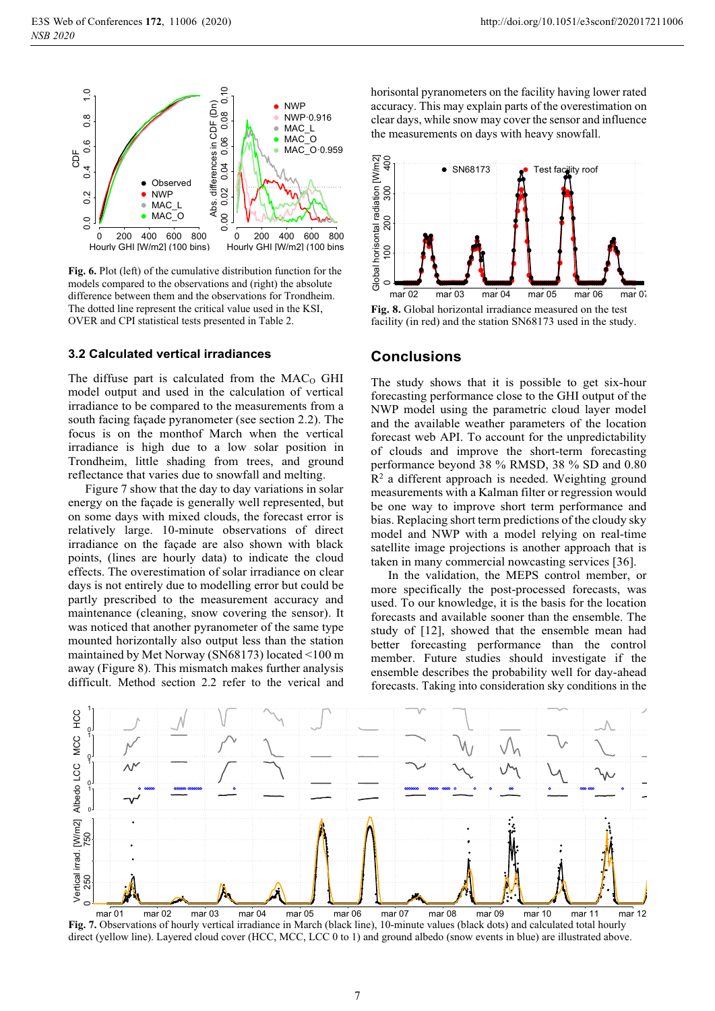

**Fig. 6.** Plot (left) of the cumulative distribution function for the models compared to the observations and (right) the absolute difference between them and the observations for Trondheim. The dotted line represent the critical value used in the KSI, OVER and CPI statistical tests presented in Table 2.

### **3.2 Calculated vertical irradiances**

The diffuse part is calculated from the  $MAC<sub>O</sub>$  GHI model output and used in the calculation of vertical irradiance to be compared to the measurements from a south facing façade pyranometer (see section 2.2). The focus is on the monthof March when the vertical irradiance is high due to a low solar position in Trondheim, little shading from trees, and ground reflectance that varies due to snowfall and melting.

Figure 7 show that the day to day variations in solar energy on the façade is generally well represented, but on some days with mixed clouds, the forecast error is relatively large. 10-minute observations of direct irradiance on the façade are also shown with black points, (lines are hourly data) to indicate the cloud effects. The overestimation of solar irradiance on clear days is not entirely due to modelling error but could be partly prescribed to the measurement accuracy and maintenance (cleaning, snow covering the sensor). It was noticed that another pyranometer of the same type mounted horizontally also output less than the station maintained by Met Norway (SN68173) located <100 m away (Figure 8). This mismatch makes further analysis difficult. Method section 2.2 refer to the verical and

horisontal pyranometers on the facility having lower rated accuracy. This may explain parts of the overestimation on clear days, while snow may cover the sensor and influence the measurements on days with heavy snowfall.



**Conclusions** 

The study shows that it is possible to get six-hour forecasting performance close to the GHI output of the NWP model using the parametric cloud layer model and the available weather parameters of the location forecast web API. To account for the unpredictability of clouds and improve the short-term forecasting performance beyond 38 % RMSD, 38 % SD and 0.80 R2 a different approach is needed. Weighting ground measurements with a Kalman filter or regression would be one way to improve short term performance and bias. Replacing short term predictions of the cloudy sky model and NWP with a model relying on real-time satellite image projections is another approach that is taken in many commercial nowcasting services [36].

In the validation, the MEPS control member, or more specifically the post-processed forecasts, was used. To our knowledge, it is the basis for the location forecasts and available sooner than the ensemble. The study of [12], showed that the ensemble mean had better forecasting performance than the control member. Future studies should investigate if the ensemble describes the probability well for day-ahead forecasts. Taking into consideration sky conditions in the



**Fig. 7.** Observations of hourly vertical irradiance in March (black line), 10-minute values (black dots) and calculated total hourly direct (yellow line). Layered cloud cover (HCC, MCC, LCC 0 to 1) and ground albedo (snow events in blue) are illustrated above.